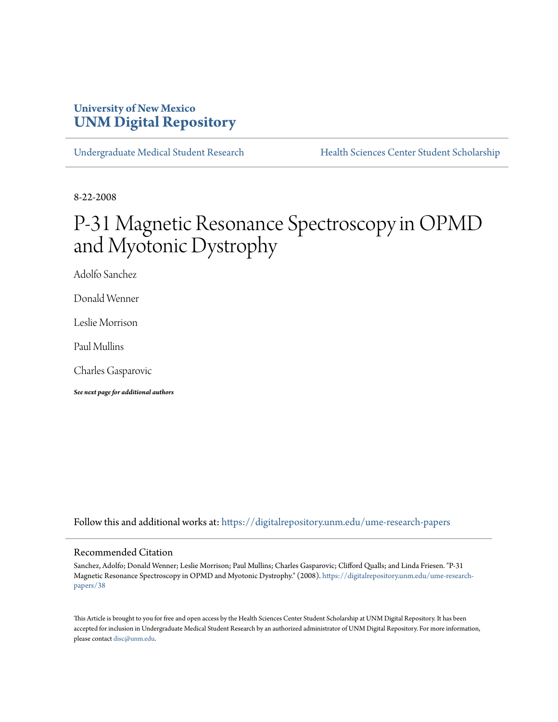# **University of New Mexico [UNM Digital Repository](https://digitalrepository.unm.edu?utm_source=digitalrepository.unm.edu%2Fume-research-papers%2F38&utm_medium=PDF&utm_campaign=PDFCoverPages)**

[Undergraduate Medical Student Research](https://digitalrepository.unm.edu/ume-research-papers?utm_source=digitalrepository.unm.edu%2Fume-research-papers%2F38&utm_medium=PDF&utm_campaign=PDFCoverPages) [Health Sciences Center Student Scholarship](https://digitalrepository.unm.edu/hsc-students?utm_source=digitalrepository.unm.edu%2Fume-research-papers%2F38&utm_medium=PDF&utm_campaign=PDFCoverPages)

8-22-2008

# P-31 Magnetic Resonance Spectroscopy in OPMD and Myotonic Dystrophy

Adolfo Sanchez

Donald Wenner

Leslie Morrison

Paul Mullins

Charles Gasparovic

*See next page for additional authors*

Follow this and additional works at: [https://digitalrepository.unm.edu/ume-research-papers](https://digitalrepository.unm.edu/ume-research-papers?utm_source=digitalrepository.unm.edu%2Fume-research-papers%2F38&utm_medium=PDF&utm_campaign=PDFCoverPages)

## Recommended Citation

Sanchez, Adolfo; Donald Wenner; Leslie Morrison; Paul Mullins; Charles Gasparovic; Clifford Qualls; and Linda Friesen. "P-31 Magnetic Resonance Spectroscopy in OPMD and Myotonic Dystrophy." (2008). [https://digitalrepository.unm.edu/ume-research](https://digitalrepository.unm.edu/ume-research-papers/38?utm_source=digitalrepository.unm.edu%2Fume-research-papers%2F38&utm_medium=PDF&utm_campaign=PDFCoverPages)[papers/38](https://digitalrepository.unm.edu/ume-research-papers/38?utm_source=digitalrepository.unm.edu%2Fume-research-papers%2F38&utm_medium=PDF&utm_campaign=PDFCoverPages)

This Article is brought to you for free and open access by the Health Sciences Center Student Scholarship at UNM Digital Repository. It has been accepted for inclusion in Undergraduate Medical Student Research by an authorized administrator of UNM Digital Repository. For more information, please contact [disc@unm.edu.](mailto:disc@unm.edu)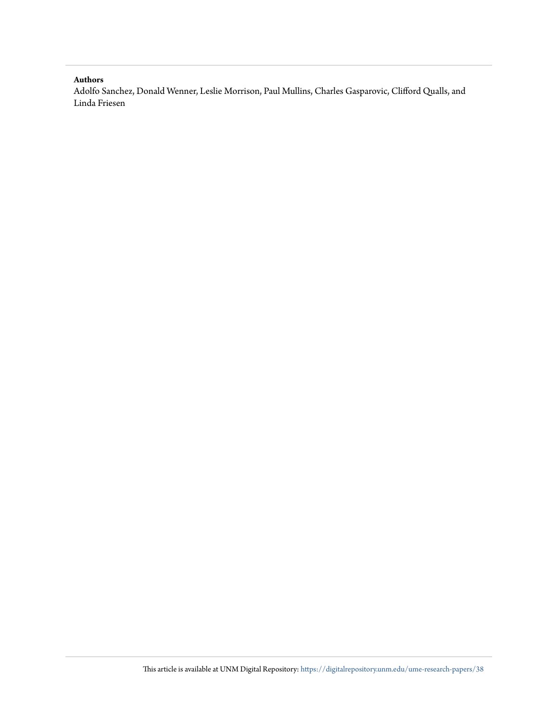# **Authors**

Adolfo Sanchez, Donald Wenner, Leslie Morrison, Paul Mullins, Charles Gasparovic, Clifford Qualls, and Linda Friesen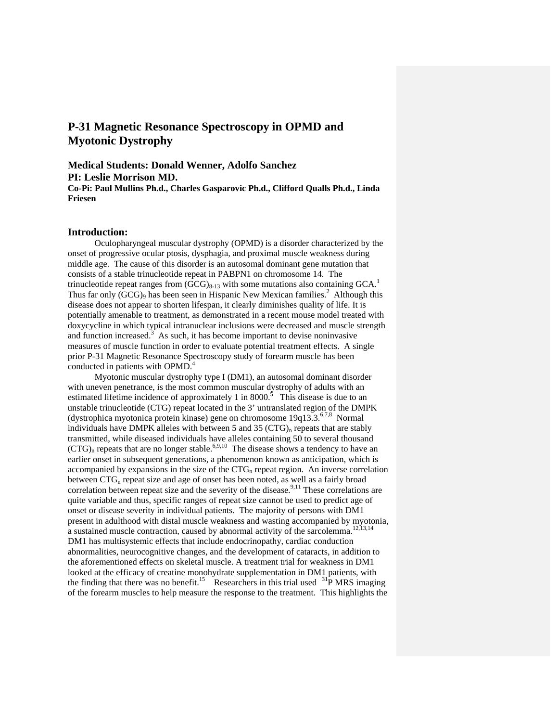# **P-31 Magnetic Resonance Spectroscopy in OPMD and Myotonic Dystrophy**

**Medical Students: Donald Wenner, Adolfo Sanchez PI: Leslie Morrison MD. Co-Pi: Paul Mullins Ph.d., Charles Gasparovic Ph.d., Clifford Qualls Ph.d., Linda Friesen** 

#### **Introduction:**

Oculopharyngeal muscular dystrophy (OPMD) is a disorder characterized by the onset of progressive ocular ptosis, dysphagia, and proximal muscle weakness during middle age. The cause of this disorder is an autosomal dominant gene mutation that consists of a stable trinucleotide repeat in PABPN1 on chromosome 14. The trinucleotide repeat ranges from  $(GCG)_{8-13}$  with some mutations also containing  $GCA$ .<sup>1</sup> Thus far only  $(GCG)$ <sub>9</sub> has been seen in Hispanic New Mexican families.<sup>2</sup> Although this disease does not appear to shorten lifespan, it clearly diminishes quality of life. It is potentially amenable to treatment, as demonstrated in a recent mouse model treated with doxycycline in which typical intranuclear inclusions were decreased and muscle strength and function increased.<sup>3</sup> As such, it has become important to devise noninvasive measures of muscle function in order to evaluate potential treatment effects. A single prior P-31 Magnetic Resonance Spectroscopy study of forearm muscle has been conducted in patients with OPMD. $4$ 

 Myotonic muscular dystrophy type I (DM1), an autosomal dominant disorder with uneven penetrance, is the most common muscular dystrophy of adults with an estimated lifetime incidence of approximately 1 in 8000.<sup>5</sup> This disease is due to an unstable trinucleotide (CTG) repeat located in the 3' untranslated region of the DMPK (dystrophica myotonica protein kinase) gene on chromosome  $19q13.3$ .<sup>6,7,8</sup> Normal individuals have DMPK alleles with between 5 and 35 ( $CTG$ )<sub>n</sub> repeats that are stably transmitted, while diseased individuals have alleles containing 50 to several thousand  $(TGG)_n$  repeats that are no longer stable.<sup>6,9,10</sup> The disease shows a tendency to have an earlier onset in subsequent generations, a phenomenon known as anticipation, which is accompanied by expansions in the size of the  $CTG_n$  repeat region. An inverse correlation between CTG<sub>n</sub> repeat size and age of onset has been noted, as well as a fairly broad correlation between repeat size and the severity of the disease.<sup>9,11</sup> These correlations are quite variable and thus, specific ranges of repeat size cannot be used to predict age of onset or disease severity in individual patients. The majority of persons with DM1 present in adulthood with distal muscle weakness and wasting accompanied by myotonia, a sustained muscle contraction, caused by abnormal activity of the sarcolemma.<sup>12,13,14</sup> DM1 has multisystemic effects that include endocrinopathy, cardiac conduction abnormalities, neurocognitive changes, and the development of cataracts, in addition to the aforementioned effects on skeletal muscle. A treatment trial for weakness in DM1 looked at the efficacy of creatine monohydrate supplementation in DM1 patients, with the finding that there was no benefit.<sup>15</sup> Researchers in this trial used  $\frac{31}{P}$  MRS imaging of the forearm muscles to help measure the response to the treatment. This highlights the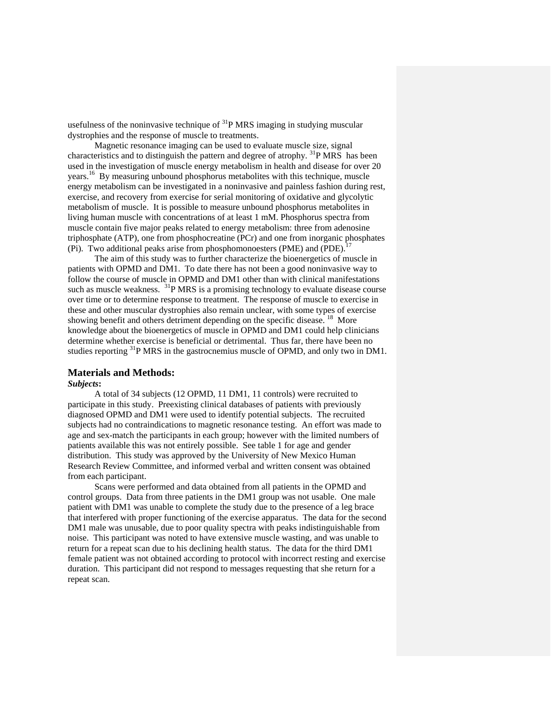usefulness of the noninvasive technique of  ${}^{31}P$  MRS imaging in studying muscular dystrophies and the response of muscle to treatments.

Magnetic resonance imaging can be used to evaluate muscle size, signal characteristics and to distinguish the pattern and degree of atrophy. 31P MRS has been used in the investigation of muscle energy metabolism in health and disease for over 20 years.16 By measuring unbound phosphorus metabolites with this technique, muscle energy metabolism can be investigated in a noninvasive and painless fashion during rest, exercise, and recovery from exercise for serial monitoring of oxidative and glycolytic metabolism of muscle. It is possible to measure unbound phosphorus metabolites in living human muscle with concentrations of at least 1 mM. Phosphorus spectra from muscle contain five major peaks related to energy metabolism: three from adenosine triphosphate (ATP), one from phosphocreatine (PCr) and one from inorganic phosphates (Pi). Two additional peaks arise from phosphomonoesters (PME) and (PDE).<sup>17</sup>

The aim of this study was to further characterize the bioenergetics of muscle in patients with OPMD and DM1. To date there has not been a good noninvasive way to follow the course of muscle in OPMD and DM1 other than with clinical manifestations such as muscle weakness. <sup>31</sup>P MRS is a promising technology to evaluate disease course over time or to determine response to treatment. The response of muscle to exercise in these and other muscular dystrophies also remain unclear, with some types of exercise showing benefit and others detriment depending on the specific disease. <sup>18</sup> More knowledge about the bioenergetics of muscle in OPMD and DM1 could help clinicians determine whether exercise is beneficial or detrimental. Thus far, there have been no studies reporting 31P MRS in the gastrocnemius muscle of OPMD, and only two in DM1.

#### **Materials and Methods:**

#### *Subjects***:**

 A total of 34 subjects (12 OPMD, 11 DM1, 11 controls) were recruited to participate in this study. Preexisting clinical databases of patients with previously diagnosed OPMD and DM1 were used to identify potential subjects. The recruited subjects had no contraindications to magnetic resonance testing. An effort was made to age and sex-match the participants in each group; however with the limited numbers of patients available this was not entirely possible. See table 1 for age and gender distribution. This study was approved by the University of New Mexico Human Research Review Committee, and informed verbal and written consent was obtained from each participant.

Scans were performed and data obtained from all patients in the OPMD and control groups. Data from three patients in the DM1 group was not usable. One male patient with DM1 was unable to complete the study due to the presence of a leg brace that interfered with proper functioning of the exercise apparatus. The data for the second DM1 male was unusable, due to poor quality spectra with peaks indistinguishable from noise. This participant was noted to have extensive muscle wasting, and was unable to return for a repeat scan due to his declining health status. The data for the third DM1 female patient was not obtained according to protocol with incorrect resting and exercise duration. This participant did not respond to messages requesting that she return for a repeat scan.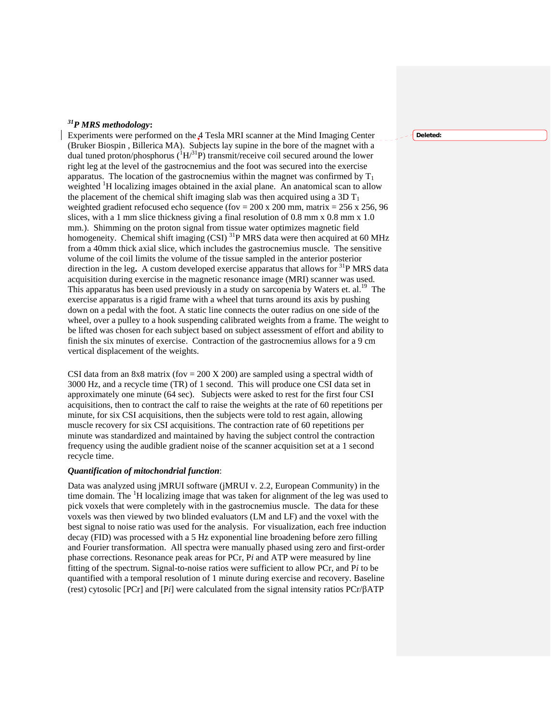# *31P MRS methodology***:**

Experiments were performed on the 4 Tesla MRI scanner at the Mind Imaging Center (Bruker Biospin , Billerica MA). Subjects lay supine in the bore of the magnet with a dual tuned proton/phosphorus  $({}^{1}H^{31}P)$  transmit/receive coil secured around the lower right leg at the level of the gastrocnemius and the foot was secured into the exercise apparatus. The location of the gastrocnemius within the magnet was confirmed by  $T_1$ weighted <sup>1</sup>H localizing images obtained in the axial plane. An anatomical scan to allow the placement of the chemical shift imaging slab was then acquired using a 3D  $T_1$ weighted gradient refocused echo sequence (fov = 200 x 200 mm, matrix = 256 x 256, 96 slices, with a 1 mm slice thickness giving a final resolution of 0.8 mm x 0.8 mm x 1.0 mm.). Shimming on the proton signal from tissue water optimizes magnetic field homogeneity. Chemical shift imaging (CSI)<sup>31</sup>P MRS data were then acquired at 60 MHz from a 40mm thick axial slice, which includes the gastrocnemius muscle. The sensitive volume of the coil limits the volume of the tissue sampled in the anterior posterior direction in the leg. A custom developed exercise apparatus that allows for <sup>31</sup>P MRS data acquisition during exercise in the magnetic resonance image (MRI) scanner was used. This apparatus has been used previously in a study on sarcopenia by Waters et. al.<sup>19</sup> The exercise apparatus is a rigid frame with a wheel that turns around its axis by pushing down on a pedal with the foot. A static line connects the outer radius on one side of the wheel, over a pulley to a hook suspending calibrated weights from a frame. The weight to be lifted was chosen for each subject based on subject assessment of effort and ability to finish the six minutes of exercise. Contraction of the gastrocnemius allows for a 9 cm vertical displacement of the weights.

CSI data from an 8x8 matrix (fov = 200 X 200) are sampled using a spectral width of 3000 Hz, and a recycle time (TR) of 1 second. This will produce one CSI data set in approximately one minute (64 sec). Subjects were asked to rest for the first four CSI acquisitions, then to contract the calf to raise the weights at the rate of 60 repetitions per minute, for six CSI acquisitions, then the subjects were told to rest again, allowing muscle recovery for six CSI acquisitions. The contraction rate of 60 repetitions per minute was standardized and maintained by having the subject control the contraction frequency using the audible gradient noise of the scanner acquisition set at a 1 second recycle time.

#### *Quantification of mitochondrial function*:

Data was analyzed using jMRUI software (jMRUI v. 2.2, European Community) in the time domain. The  ${}^{1}H$  localizing image that was taken for alignment of the leg was used to pick voxels that were completely with in the gastrocnemius muscle. The data for these voxels was then viewed by two blinded evaluators (LM and LF) and the voxel with the best signal to noise ratio was used for the analysis. For visualization, each free induction decay (FID) was processed with a 5 Hz exponential line broadening before zero filling and Fourier transformation. All spectra were manually phased using zero and first-order phase corrections. Resonance peak areas for PCr, P*i* and ATP were measured by line fitting of the spectrum. Signal-to-noise ratios were sufficient to allow PCr, and P*i* to be quantified with a temporal resolution of 1 minute during exercise and recovery. Baseline (rest) cytosolic [PCr] and [P*i*] were calculated from the signal intensity ratios PCr/βATP

#### **Deleted:**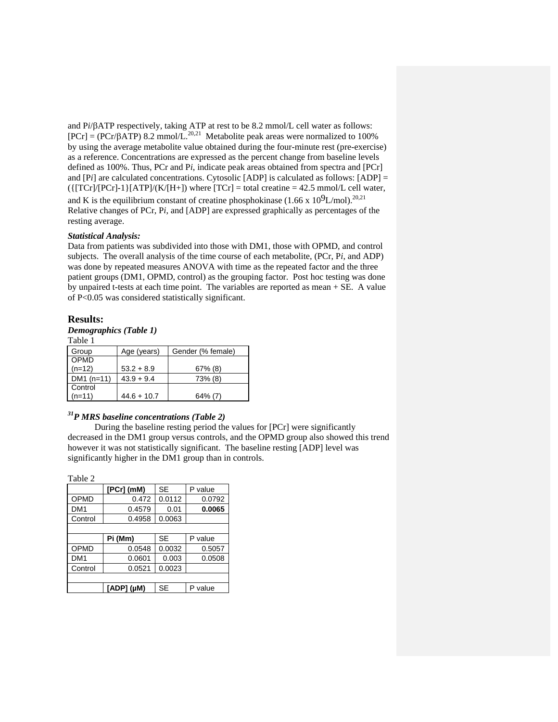and P*i*/βATP respectively, taking ATP at rest to be 8.2 mmol/L cell water as follows:  $[PCr] = (PCr/\beta ATP) 8.2 mmol/L<sup>20,21</sup>$  Metabolite peak areas were normalized to 100% by using the average metabolite value obtained during the four-minute rest (pre-exercise) as a reference. Concentrations are expressed as the percent change from baseline levels defined as 100%. Thus, PCr and P*i*, indicate peak areas obtained from spectra and [PCr] and [P*i*] are calculated concentrations. Cytosolic [ADP] is calculated as follows: [ADP] =  $({\text{[TCr]/[PCr]-1}\}[ATP]/(K/[H+])$  where  $[TCr]$  = total creatine = 42.5 mmol/L cell water, and K is the equilibrium constant of creatine phosphokinase  $(1.66 \times 10^9 L/mol)^{20,21}$ Relative changes of PCr, P*i*, and [ADP] are expressed graphically as percentages of the resting average.

## *Statistical Analysis:*

Data from patients was subdivided into those with DM1, those with OPMD, and control subjects. The overall analysis of the time course of each metabolite, (PCr, P*i*, and ADP) was done by repeated measures ANOVA with time as the repeated factor and the three patient groups (DM1, OPMD, control) as the grouping factor. Post hoc testing was done by unpaired t-tests at each time point. The variables are reported as mean + SE. A value of P<0.05 was considered statistically significant.

#### **Results:**

## *Demographics (Table 1)*

Table 1

| Group       | Age (years)   | Gender (% female) |
|-------------|---------------|-------------------|
| OPMD        |               |                   |
| $(n=12)$    | $53.2 + 8.9$  | $67\%$ (8)        |
| $DM1(n=11)$ | $43.9 + 9.4$  | 73% (8)           |
| Control     |               |                   |
| $(n=11)$    | $44.6 + 10.7$ | $64\%$ (7)        |

# *31P MRS baseline concentrations (Table 2)*

 During the baseline resting period the values for [PCr] were significantly decreased in the DM1 group versus controls, and the OPMD group also showed this trend however it was not statistically significant. The baseline resting [ADP] level was significantly higher in the DM1 group than in controls.

Table 2

|                 | $[PCr]$ (mM)       | <b>SE</b> | P value |  |  |
|-----------------|--------------------|-----------|---------|--|--|
| OPMD            | 0.472              | 0.0112    | 0.0792  |  |  |
| DM <sub>1</sub> | 0.4579             | 0.01      | 0.0065  |  |  |
| Control         | 0.4958             | 0.0063    |         |  |  |
|                 |                    |           |         |  |  |
|                 | Pi (Mm)            | SE        | P value |  |  |
| OPMD            | 0.0548             | 0.0032    | 0.5057  |  |  |
| DM <sub>1</sub> | 0.0601             | 0.003     | 0.0508  |  |  |
| Control         | 0.0521             | 0.0023    |         |  |  |
|                 |                    |           |         |  |  |
|                 | $[ADP]$ ( $\mu$ M) | SE        | value   |  |  |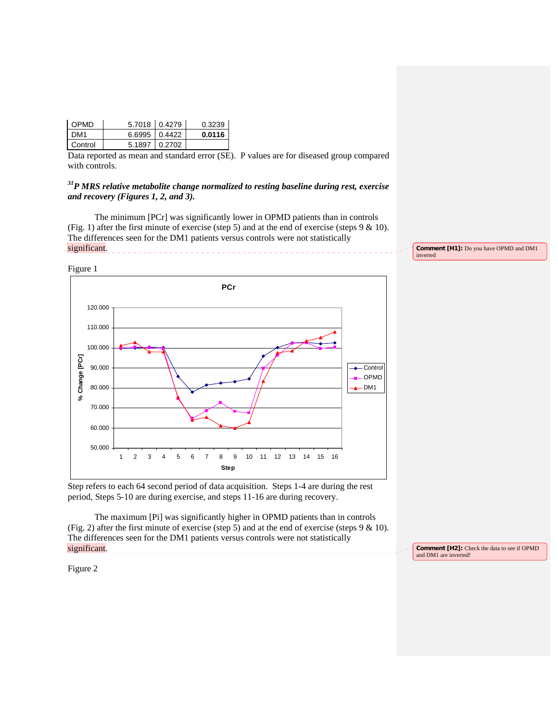| <b>OPMD</b> | $5.7018$ 0.4279 | 0.3239 |
|-------------|-----------------|--------|
| I DM1       | $6.6995$ 0.4422 | 0.0116 |
| Control     | 5.1897 0.2702   |        |

Data reported as mean and standard error (SE). P values are for diseased group compared with controls.

*31P MRS relative metabolite change normalized to resting baseline during rest, exercise and recovery (Figures 1, 2, and 3).* 

 The minimum [PCr] was significantly lower in OPMD patients than in controls (Fig. 1) after the first minute of exercise (step 5) and at the end of exercise (steps 9 & 10). The differences seen for the DM1 patients versus controls were not statistically significant.







Step refers to each 64 second period of data acquisition. Steps 1-4 are during the rest period, Steps 5-10 are during exercise, and steps 11-16 are during recovery.

The maximum [Pi] was significantly higher in OPMD patients than in controls (Fig. 2) after the first minute of exercise (step 5) and at the end of exercise (steps 9 & 10). The differences seen for the DM1 patients versus controls were not statistically significant.

**Comment [H2]:** Check the data to see if OPMD and DM1 are inverted!

Figure 2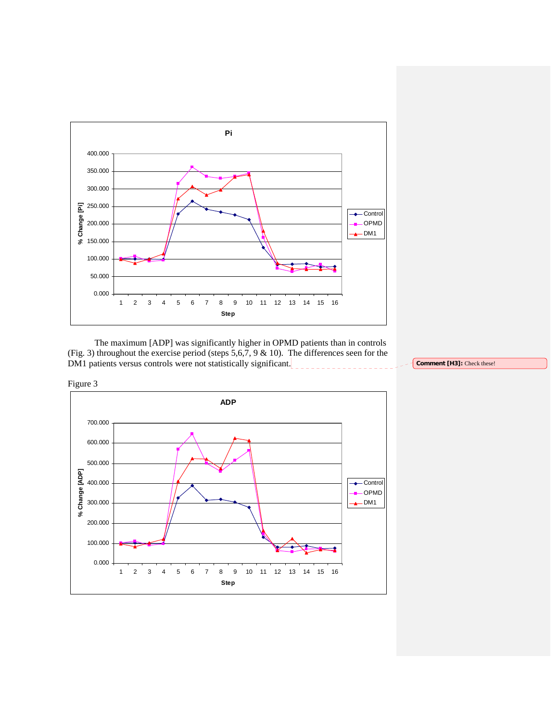

The maximum [ADP] was significantly higher in OPMD patients than in controls (Fig. 3) throughout the exercise period (steps  $5,6,7,9$  & 10). The differences seen for the DM1 patients versus controls were not statistically significant.



**Comment [H3]:** Check these!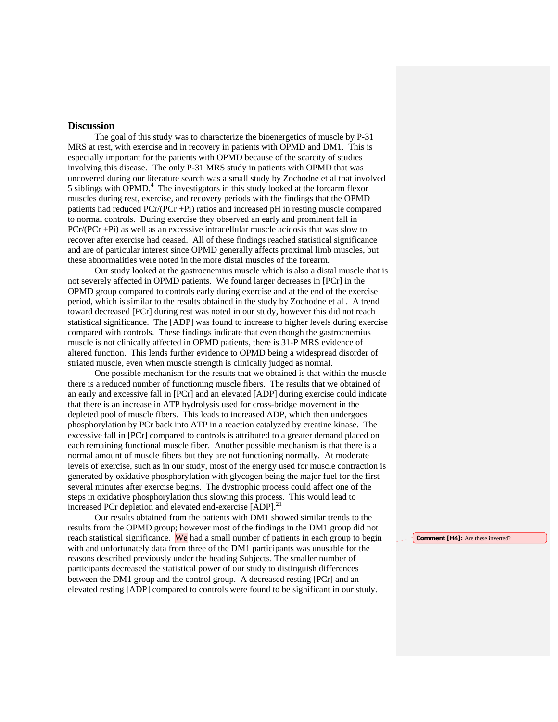# **Discussion**

 The goal of this study was to characterize the bioenergetics of muscle by P-31 MRS at rest, with exercise and in recovery in patients with OPMD and DM1. This is especially important for the patients with OPMD because of the scarcity of studies involving this disease.The only P-31 MRS study in patients with OPMD that was uncovered during our literature search was a small study by Zochodne et al that involved 5 siblings with  $OPMD<sup>4</sup>$ . The investigators in this study looked at the forearm flexor muscles during rest, exercise, and recovery periods with the findings that the OPMD patients had reduced PCr/(PCr +Pi) ratios and increased pH in resting muscle compared to normal controls. During exercise they observed an early and prominent fall in PCr/(PCr +Pi) as well as an excessive intracellular muscle acidosis that was slow to recover after exercise had ceased. All of these findings reached statistical significance and are of particular interest since OPMD generally affects proximal limb muscles, but these abnormalities were noted in the more distal muscles of the forearm.

Our study looked at the gastrocnemius muscle which is also a distal muscle that is not severely affected in OPMD patients. We found larger decreases in [PCr] in the OPMD group compared to controls early during exercise and at the end of the exercise period, which is similar to the results obtained in the study by Zochodne et al . A trend toward decreased [PCr] during rest was noted in our study, however this did not reach statistical significance. The [ADP] was found to increase to higher levels during exercise compared with controls. These findings indicate that even though the gastrocnemius muscle is not clinically affected in OPMD patients, there is 31-P MRS evidence of altered function. This lends further evidence to OPMD being a widespread disorder of striated muscle, even when muscle strength is clinically judged as normal.

One possible mechanism for the results that we obtained is that within the muscle there is a reduced number of functioning muscle fibers. The results that we obtained of an early and excessive fall in [PCr] and an elevated [ADP] during exercise could indicate that there is an increase in ATP hydrolysis used for cross-bridge movement in the depleted pool of muscle fibers. This leads to increased ADP, which then undergoes phosphorylation by PCr back into ATP in a reaction catalyzed by creatine kinase. The excessive fall in [PCr] compared to controls is attributed to a greater demand placed on each remaining functional muscle fiber. Another possible mechanism is that there is a normal amount of muscle fibers but they are not functioning normally. At moderate levels of exercise, such as in our study, most of the energy used for muscle contraction is generated by oxidative phosphorylation with glycogen being the major fuel for the first several minutes after exercise begins. The dystrophic process could affect one of the steps in oxidative phosphorylation thus slowing this process. This would lead to increased PCr depletion and elevated end-exercise [ADP].<sup>21</sup>

 Our results obtained from the patients with DM1 showed similar trends to the results from the OPMD group; however most of the findings in the DM1 group did not reach statistical significance. We had a small number of patients in each group to begin with and unfortunately data from three of the DM1 participants was unusable for the reasons described previously under the heading Subjects. The smaller number of participants decreased the statistical power of our study to distinguish differences between the DM1 group and the control group. A decreased resting [PCr] and an elevated resting [ADP] compared to controls were found to be significant in our study.

**Comment [H4]:** Are these inverted?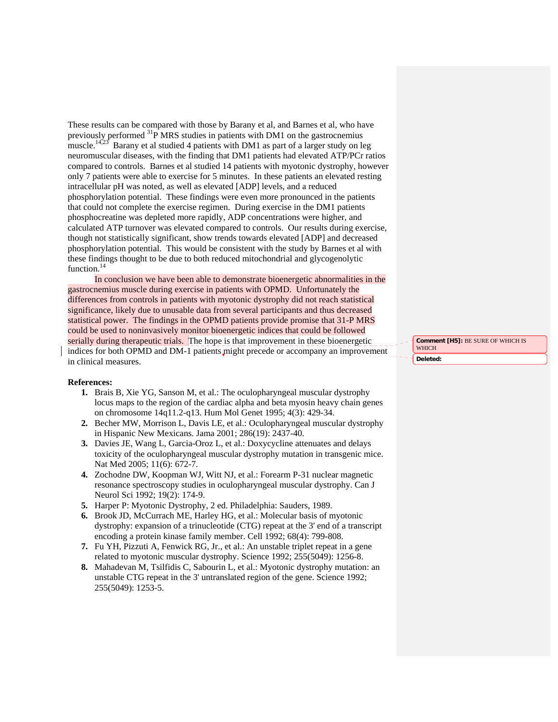These results can be compared with those by Barany et al, and Barnes et al, who have previously performed <sup>31</sup>P MRS studies in patients with DM1 on the gastrocnemius muscle.<sup>14,23</sup> Barany et al studied 4 patients with DM1 as part of a larger study on leg neuromuscular diseases, with the finding that DM1 patients had elevated ATP/PCr ratios compared to controls. Barnes et al studied 14 patients with myotonic dystrophy, however only 7 patients were able to exercise for 5 minutes. In these patients an elevated resting intracellular pH was noted, as well as elevated [ADP] levels, and a reduced phosphorylation potential. These findings were even more pronounced in the patients that could not complete the exercise regimen. During exercise in the DM1 patients phosphocreatine was depleted more rapidly, ADP concentrations were higher, and calculated ATP turnover was elevated compared to controls. Our results during exercise, though not statistically significant, show trends towards elevated [ADP] and decreased phosphorylation potential. This would be consistent with the study by Barnes et al with these findings thought to be due to both reduced mitochondrial and glycogenolytic function.<sup>14</sup>

 In conclusion we have been able to demonstrate bioenergetic abnormalities in the gastrocnemius muscle during exercise in patients with OPMD. Unfortunately the differences from controls in patients with myotonic dystrophy did not reach statistical significance, likely due to unusable data from several participants and thus decreased statistical power. The findings in the OPMD patients provide promise that 31-P MRS could be used to noninvasively monitor bioenergetic indices that could be followed serially during therapeutic trials. The hope is that improvement in these bioenergetic indices for both OPMD and DM-1 patients might precede or accompany an improvement in clinical measures.

#### **References:**

- **1.** Brais B, Xie YG, Sanson M, et al.: The oculopharyngeal muscular dystrophy locus maps to the region of the cardiac alpha and beta myosin heavy chain genes on chromosome 14q11.2-q13. Hum Mol Genet 1995; 4(3): 429-34.
- **2.** Becher MW, Morrison L, Davis LE, et al.: Oculopharyngeal muscular dystrophy in Hispanic New Mexicans. Jama 2001; 286(19): 2437-40.
- **3.** Davies JE, Wang L, Garcia-Oroz L, et al.: Doxycycline attenuates and delays toxicity of the oculopharyngeal muscular dystrophy mutation in transgenic mice. Nat Med 2005; 11(6): 672-7.
- **4.** Zochodne DW, Koopman WJ, Witt NJ, et al.: Forearm P-31 nuclear magnetic resonance spectroscopy studies in oculopharyngeal muscular dystrophy. Can J Neurol Sci 1992; 19(2): 174-9.
- **5.** Harper P: Myotonic Dystrophy, 2 ed. Philadelphia: Sauders, 1989.
- **6.** Brook JD, McCurrach ME, Harley HG, et al.: Molecular basis of myotonic dystrophy: expansion of a trinucleotide (CTG) repeat at the 3' end of a transcript encoding a protein kinase family member. Cell 1992; 68(4): 799-808.
- **7.** Fu YH, Pizzuti A, Fenwick RG, Jr., et al.: An unstable triplet repeat in a gene related to myotonic muscular dystrophy. Science 1992; 255(5049): 1256-8.
- **8.** Mahadevan M, Tsilfidis C, Sabourin L, et al.: Myotonic dystrophy mutation: an unstable CTG repeat in the 3' untranslated region of the gene. Science 1992; 255(5049): 1253-5.

**Comment [H5]:** BE SURE OF WHICH IS **WHICH Deleted:**